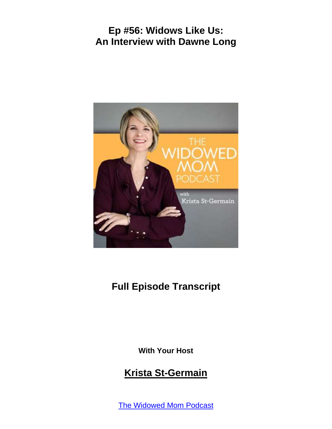

# **Full Episode Transcript**

**With Your Host**

## **Krista St-Germain**

The [Widowed](https://coachingwithkrista.com/podcast) Mom Podcast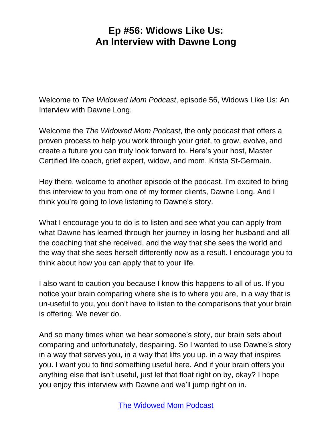Welcome to *The Widowed Mom Podcast*, episode 56, Widows Like Us: An Interview with Dawne Long.

Welcome the *The Widowed Mom Podcast*, the only podcast that offers a proven process to help you work through your grief, to grow, evolve, and create a future you can truly look forward to. Here's your host, Master Certified life coach, grief expert, widow, and mom, Krista St-Germain.

Hey there, welcome to another episode of the podcast. I'm excited to bring this interview to you from one of my former clients, Dawne Long. And I think you're going to love listening to Dawne's story.

What I encourage you to do is to listen and see what you can apply from what Dawne has learned through her journey in losing her husband and all the coaching that she received, and the way that she sees the world and the way that she sees herself differently now as a result. I encourage you to think about how you can apply that to your life.

I also want to caution you because I know this happens to all of us. If you notice your brain comparing where she is to where you are, in a way that is un-useful to you, you don't have to listen to the comparisons that your brain is offering. We never do.

And so many times when we hear someone's story, our brain sets about comparing and unfortunately, despairing. So I wanted to use Dawne's story in a way that serves you, in a way that lifts you up, in a way that inspires you. I want you to find something useful here. And if your brain offers you anything else that isn't useful, just let that float right on by, okay? I hope you enjoy this interview with Dawne and we'll jump right on in.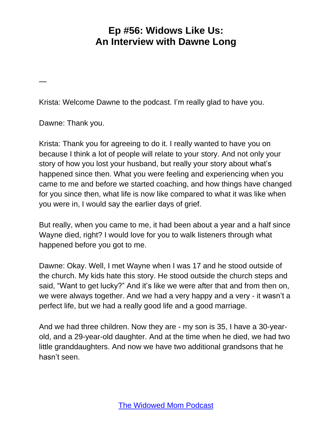Krista: Welcome Dawne to the podcast. I'm really glad to have you.

Dawne: Thank you.

—

Krista: Thank you for agreeing to do it. I really wanted to have you on because I think a lot of people will relate to your story. And not only your story of how you lost your husband, but really your story about what's happened since then. What you were feeling and experiencing when you came to me and before we started coaching, and how things have changed for you since then, what life is now like compared to what it was like when you were in, I would say the earlier days of grief.

But really, when you came to me, it had been about a year and a half since Wayne died, right? I would love for you to walk listeners through what happened before you got to me.

Dawne: Okay. Well, I met Wayne when I was 17 and he stood outside of the church. My kids hate this story. He stood outside the church steps and said, "Want to get lucky?" And it's like we were after that and from then on, we were always together. And we had a very happy and a very - it wasn't a perfect life, but we had a really good life and a good marriage.

And we had three children. Now they are - my son is 35, I have a 30-yearold, and a 29-year-old daughter. And at the time when he died, we had two little granddaughters. And now we have two additional grandsons that he hasn't seen.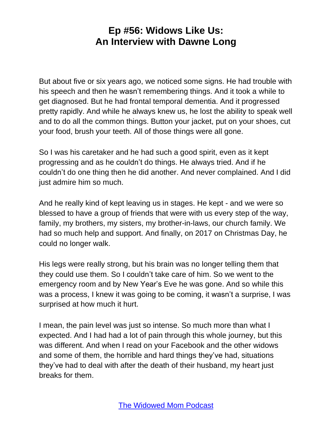But about five or six years ago, we noticed some signs. He had trouble with his speech and then he wasn't remembering things. And it took a while to get diagnosed. But he had frontal temporal dementia. And it progressed pretty rapidly. And while he always knew us, he lost the ability to speak well and to do all the common things. Button your jacket, put on your shoes, cut your food, brush your teeth. All of those things were all gone.

So I was his caretaker and he had such a good spirit, even as it kept progressing and as he couldn't do things. He always tried. And if he couldn't do one thing then he did another. And never complained. And I did just admire him so much.

And he really kind of kept leaving us in stages. He kept - and we were so blessed to have a group of friends that were with us every step of the way, family, my brothers, my sisters, my brother-in-laws, our church family. We had so much help and support. And finally, on 2017 on Christmas Day, he could no longer walk.

His legs were really strong, but his brain was no longer telling them that they could use them. So I couldn't take care of him. So we went to the emergency room and by New Year's Eve he was gone. And so while this was a process, I knew it was going to be coming, it wasn't a surprise, I was surprised at how much it hurt.

I mean, the pain level was just so intense. So much more than what I expected. And I had had a lot of pain through this whole journey, but this was different. And when I read on your Facebook and the other widows and some of them, the horrible and hard things they've had, situations they've had to deal with after the death of their husband, my heart just breaks for them.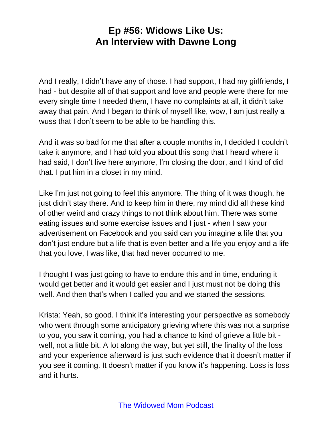And I really, I didn't have any of those. I had support, I had my girlfriends, I had - but despite all of that support and love and people were there for me every single time I needed them, I have no complaints at all, it didn't take away that pain. And I began to think of myself like, wow, I am just really a wuss that I don't seem to be able to be handling this.

And it was so bad for me that after a couple months in, I decided I couldn't take it anymore, and I had told you about this song that I heard where it had said, I don't live here anymore, I'm closing the door, and I kind of did that. I put him in a closet in my mind.

Like I'm just not going to feel this anymore. The thing of it was though, he just didn't stay there. And to keep him in there, my mind did all these kind of other weird and crazy things to not think about him. There was some eating issues and some exercise issues and I just - when I saw your advertisement on Facebook and you said can you imagine a life that you don't just endure but a life that is even better and a life you enjoy and a life that you love, I was like, that had never occurred to me.

I thought I was just going to have to endure this and in time, enduring it would get better and it would get easier and I just must not be doing this well. And then that's when I called you and we started the sessions.

Krista: Yeah, so good. I think it's interesting your perspective as somebody who went through some anticipatory grieving where this was not a surprise to you, you saw it coming, you had a chance to kind of grieve a little bit well, not a little bit. A lot along the way, but yet still, the finality of the loss and your experience afterward is just such evidence that it doesn't matter if you see it coming. It doesn't matter if you know it's happening. Loss is loss and it hurts.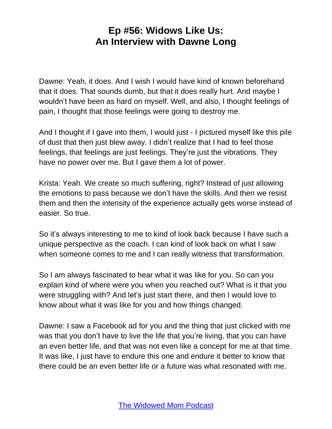Dawne: Yeah, it does. And I wish I would have kind of known beforehand that it does. That sounds dumb, but that it does really hurt. And maybe I wouldn't have been as hard on myself. Well, and also, I thought feelings of pain, I thought that those feelings were going to destroy me.

And I thought if I gave into them, I would just - I pictured myself like this pile of dust that then just blew away. I didn't realize that I had to feel those feelings, that feelings are just feelings. They're just the vibrations. They have no power over me. But I gave them a lot of power.

Krista: Yeah. We create so much suffering, right? Instead of just allowing the emotions to pass because we don't have the skills. And then we resist them and then the intensity of the experience actually gets worse instead of easier. So true.

So it's always interesting to me to kind of look back because I have such a unique perspective as the coach. I can kind of look back on what I saw when someone comes to me and I can really witness that transformation.

So I am always fascinated to hear what it was like for you. So can you explain kind of where were you when you reached out? What is it that you were struggling with? And let's just start there, and then I would love to know about what it was like for you and how things changed.

Dawne: I saw a Facebook ad for you and the thing that just clicked with me was that you don't have to live the life that you're living, that you can have an even better life, and that was not even like a concept for me at that time. It was like, I just have to endure this one and endure it better to know that there could be an even better life or a future was what resonated with me.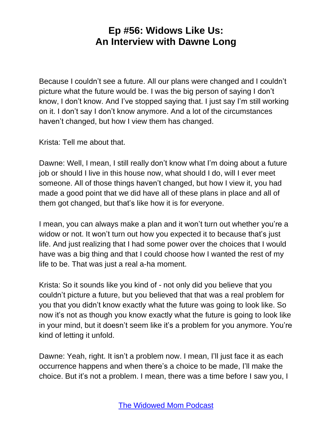Because I couldn't see a future. All our plans were changed and I couldn't picture what the future would be. I was the big person of saying I don't know, I don't know. And I've stopped saying that. I just say I'm still working on it. I don't say I don't know anymore. And a lot of the circumstances haven't changed, but how I view them has changed.

Krista: Tell me about that.

Dawne: Well, I mean, I still really don't know what I'm doing about a future job or should I live in this house now, what should I do, will I ever meet someone. All of those things haven't changed, but how I view it, you had made a good point that we did have all of these plans in place and all of them got changed, but that's like how it is for everyone.

I mean, you can always make a plan and it won't turn out whether you're a widow or not. It won't turn out how you expected it to because that's just life. And just realizing that I had some power over the choices that I would have was a big thing and that I could choose how I wanted the rest of my life to be. That was just a real a-ha moment.

Krista: So it sounds like you kind of - not only did you believe that you couldn't picture a future, but you believed that that was a real problem for you that you didn't know exactly what the future was going to look like. So now it's not as though you know exactly what the future is going to look like in your mind, but it doesn't seem like it's a problem for you anymore. You're kind of letting it unfold.

Dawne: Yeah, right. It isn't a problem now. I mean, I'll just face it as each occurrence happens and when there's a choice to be made, I'll make the choice. But it's not a problem. I mean, there was a time before I saw you, I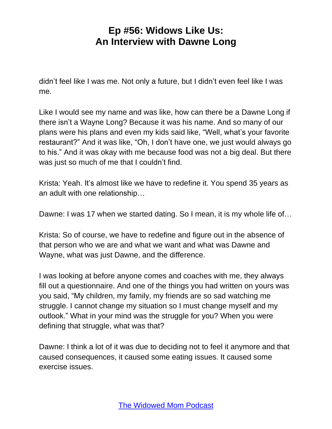didn't feel like I was me. Not only a future, but I didn't even feel like I was me.

Like I would see my name and was like, how can there be a Dawne Long if there isn't a Wayne Long? Because it was his name. And so many of our plans were his plans and even my kids said like, "Well, what's your favorite restaurant?" And it was like, "Oh, I don't have one, we just would always go to his." And it was okay with me because food was not a big deal. But there was just so much of me that I couldn't find.

Krista: Yeah. It's almost like we have to redefine it. You spend 35 years as an adult with one relationship…

Dawne: I was 17 when we started dating. So I mean, it is my whole life of…

Krista: So of course, we have to redefine and figure out in the absence of that person who we are and what we want and what was Dawne and Wayne, what was just Dawne, and the difference.

I was looking at before anyone comes and coaches with me, they always fill out a questionnaire. And one of the things you had written on yours was you said, "My children, my family, my friends are so sad watching me struggle. I cannot change my situation so I must change myself and my outlook." What in your mind was the struggle for you? When you were defining that struggle, what was that?

Dawne: I think a lot of it was due to deciding not to feel it anymore and that caused consequences, it caused some eating issues. It caused some exercise issues.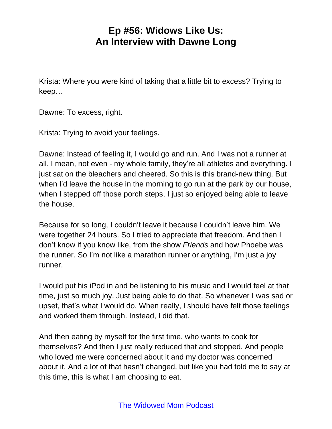Krista: Where you were kind of taking that a little bit to excess? Trying to keep…

Dawne: To excess, right.

Krista: Trying to avoid your feelings.

Dawne: Instead of feeling it, I would go and run. And I was not a runner at all. I mean, not even - my whole family, they're all athletes and everything. I just sat on the bleachers and cheered. So this is this brand-new thing. But when I'd leave the house in the morning to go run at the park by our house, when I stepped off those porch steps, I just so enjoyed being able to leave the house.

Because for so long, I couldn't leave it because I couldn't leave him. We were together 24 hours. So I tried to appreciate that freedom. And then I don't know if you know like, from the show *Friends* and how Phoebe was the runner. So I'm not like a marathon runner or anything, I'm just a joy runner.

I would put his iPod in and be listening to his music and I would feel at that time, just so much joy. Just being able to do that. So whenever I was sad or upset, that's what I would do. When really, I should have felt those feelings and worked them through. Instead, I did that.

And then eating by myself for the first time, who wants to cook for themselves? And then I just really reduced that and stopped. And people who loved me were concerned about it and my doctor was concerned about it. And a lot of that hasn't changed, but like you had told me to say at this time, this is what I am choosing to eat.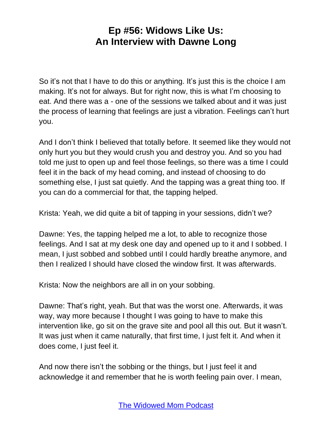So it's not that I have to do this or anything. It's just this is the choice I am making. It's not for always. But for right now, this is what I'm choosing to eat. And there was a - one of the sessions we talked about and it was just the process of learning that feelings are just a vibration. Feelings can't hurt you.

And I don't think I believed that totally before. It seemed like they would not only hurt you but they would crush you and destroy you. And so you had told me just to open up and feel those feelings, so there was a time I could feel it in the back of my head coming, and instead of choosing to do something else, I just sat quietly. And the tapping was a great thing too. If you can do a commercial for that, the tapping helped.

Krista: Yeah, we did quite a bit of tapping in your sessions, didn't we?

Dawne: Yes, the tapping helped me a lot, to able to recognize those feelings. And I sat at my desk one day and opened up to it and I sobbed. I mean, I just sobbed and sobbed until I could hardly breathe anymore, and then I realized I should have closed the window first. It was afterwards.

Krista: Now the neighbors are all in on your sobbing.

Dawne: That's right, yeah. But that was the worst one. Afterwards, it was way, way more because I thought I was going to have to make this intervention like, go sit on the grave site and pool all this out. But it wasn't. It was just when it came naturally, that first time, I just felt it. And when it does come, I just feel it.

And now there isn't the sobbing or the things, but I just feel it and acknowledge it and remember that he is worth feeling pain over. I mean,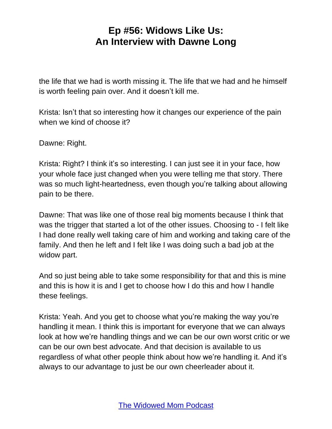the life that we had is worth missing it. The life that we had and he himself is worth feeling pain over. And it doesn't kill me.

Krista: Isn't that so interesting how it changes our experience of the pain when we kind of choose it?

Dawne: Right.

Krista: Right? I think it's so interesting. I can just see it in your face, how your whole face just changed when you were telling me that story. There was so much light-heartedness, even though you're talking about allowing pain to be there.

Dawne: That was like one of those real big moments because I think that was the trigger that started a lot of the other issues. Choosing to - I felt like I had done really well taking care of him and working and taking care of the family. And then he left and I felt like I was doing such a bad job at the widow part.

And so just being able to take some responsibility for that and this is mine and this is how it is and I get to choose how I do this and how I handle these feelings.

Krista: Yeah. And you get to choose what you're making the way you're handling it mean. I think this is important for everyone that we can always look at how we're handling things and we can be our own worst critic or we can be our own best advocate. And that decision is available to us regardless of what other people think about how we're handling it. And it's always to our advantage to just be our own cheerleader about it.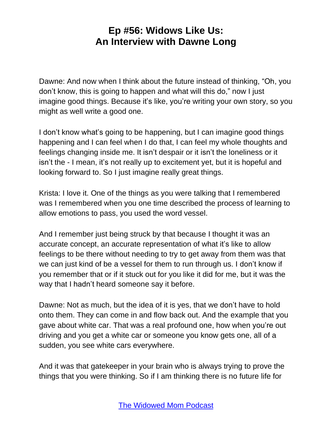Dawne: And now when I think about the future instead of thinking, "Oh, you don't know, this is going to happen and what will this do," now I just imagine good things. Because it's like, you're writing your own story, so you might as well write a good one.

I don't know what's going to be happening, but I can imagine good things happening and I can feel when I do that, I can feel my whole thoughts and feelings changing inside me. It isn't despair or it isn't the loneliness or it isn't the - I mean, it's not really up to excitement yet, but it is hopeful and looking forward to. So I just imagine really great things.

Krista: I love it. One of the things as you were talking that I remembered was I remembered when you one time described the process of learning to allow emotions to pass, you used the word vessel.

And I remember just being struck by that because I thought it was an accurate concept, an accurate representation of what it's like to allow feelings to be there without needing to try to get away from them was that we can just kind of be a vessel for them to run through us. I don't know if you remember that or if it stuck out for you like it did for me, but it was the way that I hadn't heard someone say it before.

Dawne: Not as much, but the idea of it is yes, that we don't have to hold onto them. They can come in and flow back out. And the example that you gave about white car. That was a real profound one, how when you're out driving and you get a white car or someone you know gets one, all of a sudden, you see white cars everywhere.

And it was that gatekeeper in your brain who is always trying to prove the things that you were thinking. So if I am thinking there is no future life for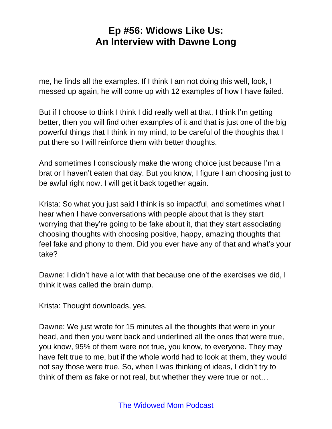me, he finds all the examples. If I think I am not doing this well, look, I messed up again, he will come up with 12 examples of how I have failed.

But if I choose to think I think I did really well at that, I think I'm getting better, then you will find other examples of it and that is just one of the big powerful things that I think in my mind, to be careful of the thoughts that I put there so I will reinforce them with better thoughts.

And sometimes I consciously make the wrong choice just because I'm a brat or I haven't eaten that day. But you know, I figure I am choosing just to be awful right now. I will get it back together again.

Krista: So what you just said I think is so impactful, and sometimes what I hear when I have conversations with people about that is they start worrying that they're going to be fake about it, that they start associating choosing thoughts with choosing positive, happy, amazing thoughts that feel fake and phony to them. Did you ever have any of that and what's your take?

Dawne: I didn't have a lot with that because one of the exercises we did, I think it was called the brain dump.

Krista: Thought downloads, yes.

Dawne: We just wrote for 15 minutes all the thoughts that were in your head, and then you went back and underlined all the ones that were true, you know, 95% of them were not true, you know, to everyone. They may have felt true to me, but if the whole world had to look at them, they would not say those were true. So, when I was thinking of ideas, I didn't try to think of them as fake or not real, but whether they were true or not…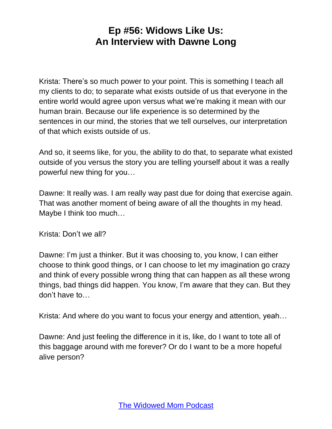Krista: There's so much power to your point. This is something I teach all my clients to do; to separate what exists outside of us that everyone in the entire world would agree upon versus what we're making it mean with our human brain. Because our life experience is so determined by the sentences in our mind, the stories that we tell ourselves, our interpretation of that which exists outside of us.

And so, it seems like, for you, the ability to do that, to separate what existed outside of you versus the story you are telling yourself about it was a really powerful new thing for you…

Dawne: It really was. I am really way past due for doing that exercise again. That was another moment of being aware of all the thoughts in my head. Maybe I think too much…

Krista: Don't we all?

Dawne: I'm just a thinker. But it was choosing to, you know, I can either choose to think good things, or I can choose to let my imagination go crazy and think of every possible wrong thing that can happen as all these wrong things, bad things did happen. You know, I'm aware that they can. But they don't have to…

Krista: And where do you want to focus your energy and attention, yeah…

Dawne: And just feeling the difference in it is, like, do I want to tote all of this baggage around with me forever? Or do I want to be a more hopeful alive person?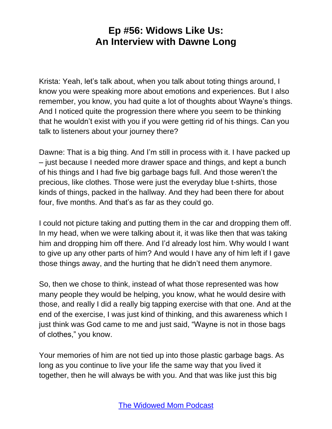Krista: Yeah, let's talk about, when you talk about toting things around, I know you were speaking more about emotions and experiences. But I also remember, you know, you had quite a lot of thoughts about Wayne's things. And I noticed quite the progression there where you seem to be thinking that he wouldn't exist with you if you were getting rid of his things. Can you talk to listeners about your journey there?

Dawne: That is a big thing. And I'm still in process with it. I have packed up – just because I needed more drawer space and things, and kept a bunch of his things and I had five big garbage bags full. And those weren't the precious, like clothes. Those were just the everyday blue t-shirts, those kinds of things, packed in the hallway. And they had been there for about four, five months. And that's as far as they could go.

I could not picture taking and putting them in the car and dropping them off. In my head, when we were talking about it, it was like then that was taking him and dropping him off there. And I'd already lost him. Why would I want to give up any other parts of him? And would I have any of him left if I gave those things away, and the hurting that he didn't need them anymore.

So, then we chose to think, instead of what those represented was how many people they would be helping, you know, what he would desire with those, and really I did a really big tapping exercise with that one. And at the end of the exercise, I was just kind of thinking, and this awareness which I just think was God came to me and just said, "Wayne is not in those bags of clothes," you know.

Your memories of him are not tied up into those plastic garbage bags. As long as you continue to live your life the same way that you lived it together, then he will always be with you. And that was like just this big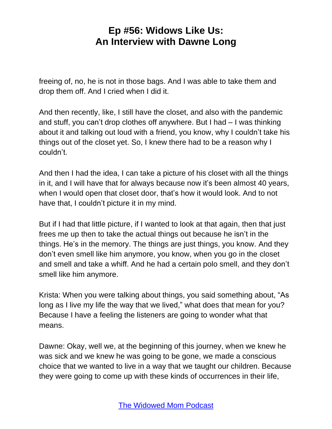freeing of, no, he is not in those bags. And I was able to take them and drop them off. And I cried when I did it.

And then recently, like, I still have the closet, and also with the pandemic and stuff, you can't drop clothes off anywhere. But I had – I was thinking about it and talking out loud with a friend, you know, why I couldn't take his things out of the closet yet. So, I knew there had to be a reason why I couldn't.

And then I had the idea, I can take a picture of his closet with all the things in it, and I will have that for always because now it's been almost 40 years, when I would open that closet door, that's how it would look. And to not have that, I couldn't picture it in my mind.

But if I had that little picture, if I wanted to look at that again, then that just frees me up then to take the actual things out because he isn't in the things. He's in the memory. The things are just things, you know. And they don't even smell like him anymore, you know, when you go in the closet and smell and take a whiff. And he had a certain polo smell, and they don't smell like him anymore.

Krista: When you were talking about things, you said something about, "As long as I live my life the way that we lived," what does that mean for you? Because I have a feeling the listeners are going to wonder what that means.

Dawne: Okay, well we, at the beginning of this journey, when we knew he was sick and we knew he was going to be gone, we made a conscious choice that we wanted to live in a way that we taught our children. Because they were going to come up with these kinds of occurrences in their life,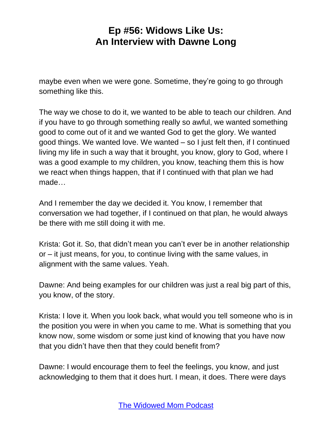maybe even when we were gone. Sometime, they're going to go through something like this.

The way we chose to do it, we wanted to be able to teach our children. And if you have to go through something really so awful, we wanted something good to come out of it and we wanted God to get the glory. We wanted good things. We wanted love. We wanted – so I just felt then, if I continued living my life in such a way that it brought, you know, glory to God, where I was a good example to my children, you know, teaching them this is how we react when things happen, that if I continued with that plan we had made…

And I remember the day we decided it. You know, I remember that conversation we had together, if I continued on that plan, he would always be there with me still doing it with me.

Krista: Got it. So, that didn't mean you can't ever be in another relationship or – it just means, for you, to continue living with the same values, in alignment with the same values. Yeah.

Dawne: And being examples for our children was just a real big part of this, you know, of the story.

Krista: I love it. When you look back, what would you tell someone who is in the position you were in when you came to me. What is something that you know now, some wisdom or some just kind of knowing that you have now that you didn't have then that they could benefit from?

Dawne: I would encourage them to feel the feelings, you know, and just acknowledging to them that it does hurt. I mean, it does. There were days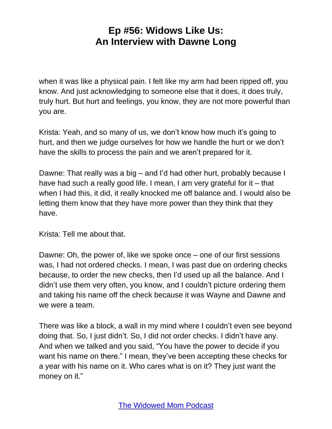when it was like a physical pain. I felt like my arm had been ripped off, you know. And just acknowledging to someone else that it does, it does truly, truly hurt. But hurt and feelings, you know, they are not more powerful than you are.

Krista: Yeah, and so many of us, we don't know how much it's going to hurt, and then we judge ourselves for how we handle the hurt or we don't have the skills to process the pain and we aren't prepared for it.

Dawne: That really was a big – and I'd had other hurt, probably because I have had such a really good life. I mean, I am very grateful for it – that when I had this, it did, it really knocked me off balance and. I would also be letting them know that they have more power than they think that they have.

Krista: Tell me about that.

Dawne: Oh, the power of, like we spoke once – one of our first sessions was, I had not ordered checks. I mean, I was past due on ordering checks because, to order the new checks, then I'd used up all the balance. And I didn't use them very often, you know, and I couldn't picture ordering them and taking his name off the check because it was Wayne and Dawne and we were a team.

There was like a block, a wall in my mind where I couldn't even see beyond doing that. So, I just didn't. So, I did not order checks. I didn't have any. And when we talked and you said, "You have the power to decide if you want his name on there." I mean, they've been accepting these checks for a year with his name on it. Who cares what is on it? They just want the money on it."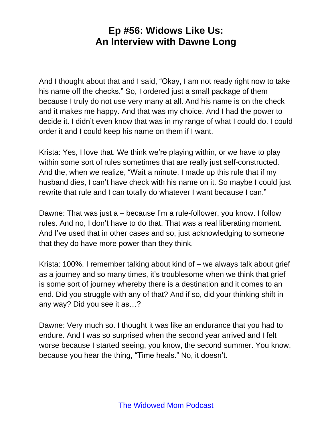And I thought about that and I said, "Okay, I am not ready right now to take his name off the checks." So, I ordered just a small package of them because I truly do not use very many at all. And his name is on the check and it makes me happy. And that was my choice. And I had the power to decide it. I didn't even know that was in my range of what I could do. I could order it and I could keep his name on them if I want.

Krista: Yes, I love that. We think we're playing within, or we have to play within some sort of rules sometimes that are really just self-constructed. And the, when we realize, "Wait a minute, I made up this rule that if my husband dies, I can't have check with his name on it. So maybe I could just rewrite that rule and I can totally do whatever I want because I can."

Dawne: That was just a – because I'm a rule-follower, you know. I follow rules. And no, I don't have to do that. That was a real liberating moment. And I've used that in other cases and so, just acknowledging to someone that they do have more power than they think.

Krista: 100%. I remember talking about kind of – we always talk about grief as a journey and so many times, it's troublesome when we think that grief is some sort of journey whereby there is a destination and it comes to an end. Did you struggle with any of that? And if so, did your thinking shift in any way? Did you see it as…?

Dawne: Very much so. I thought it was like an endurance that you had to endure. And I was so surprised when the second year arrived and I felt worse because I started seeing, you know, the second summer. You know, because you hear the thing, "Time heals." No, it doesn't.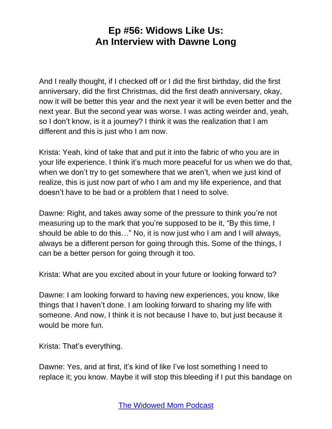And I really thought, if I checked off or I did the first birthday, did the first anniversary, did the first Christmas, did the first death anniversary, okay, now it will be better this year and the next year it will be even better and the next year. But the second year was worse. I was acting weirder and, yeah, so I don't know, is it a journey? I think it was the realization that I am different and this is just who I am now.

Krista: Yeah, kind of take that and put it into the fabric of who you are in your life experience. I think it's much more peaceful for us when we do that, when we don't try to get somewhere that we aren't, when we just kind of realize, this is just now part of who I am and my life experience, and that doesn't have to be bad or a problem that I need to solve.

Dawne: Right, and takes away some of the pressure to think you're not measuring up to the mark that you're supposed to be it, "By this time, I should be able to do this…" No, it is now just who I am and I will always, always be a different person for going through this. Some of the things, I can be a better person for going through it too.

Krista: What are you excited about in your future or looking forward to?

Dawne: I am looking forward to having new experiences, you know, like things that I haven't done. I am looking forward to sharing my life with someone. And now, I think it is not because I have to, but just because it would be more fun.

Krista: That's everything.

Dawne: Yes, and at first, it's kind of like I've lost something I need to replace it; you know. Maybe it will stop this bleeding if I put this bandage on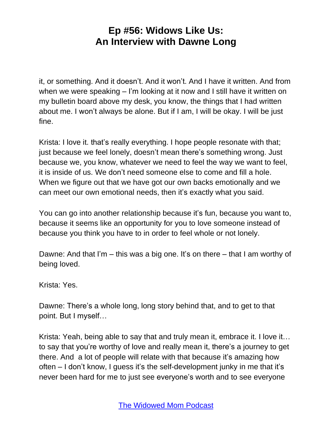it, or something. And it doesn't. And it won't. And I have it written. And from when we were speaking – I'm looking at it now and I still have it written on my bulletin board above my desk, you know, the things that I had written about me. I won't always be alone. But if I am, I will be okay. I will be just fine.

Krista: I love it. that's really everything. I hope people resonate with that; just because we feel lonely, doesn't mean there's something wrong. Just because we, you know, whatever we need to feel the way we want to feel, it is inside of us. We don't need someone else to come and fill a hole. When we figure out that we have got our own backs emotionally and we can meet our own emotional needs, then it's exactly what you said.

You can go into another relationship because it's fun, because you want to, because it seems like an opportunity for you to love someone instead of because you think you have to in order to feel whole or not lonely.

Dawne: And that I'm – this was a big one. It's on there – that I am worthy of being loved.

Krista: Yes.

Dawne: There's a whole long, long story behind that, and to get to that point. But I myself…

Krista: Yeah, being able to say that and truly mean it, embrace it. I love it… to say that you're worthy of love and really mean it, there's a journey to get there. And a lot of people will relate with that because it's amazing how often – I don't know, I guess it's the self-development junky in me that it's never been hard for me to just see everyone's worth and to see everyone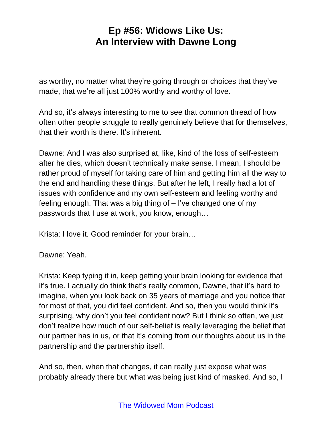as worthy, no matter what they're going through or choices that they've made, that we're all just 100% worthy and worthy of love.

And so, it's always interesting to me to see that common thread of how often other people struggle to really genuinely believe that for themselves, that their worth is there. It's inherent.

Dawne: And I was also surprised at, like, kind of the loss of self-esteem after he dies, which doesn't technically make sense. I mean, I should be rather proud of myself for taking care of him and getting him all the way to the end and handling these things. But after he left, I really had a lot of issues with confidence and my own self-esteem and feeling worthy and feeling enough. That was a big thing of – I've changed one of my passwords that I use at work, you know, enough…

Krista: I love it. Good reminder for your brain…

Dawne: Yeah.

Krista: Keep typing it in, keep getting your brain looking for evidence that it's true. I actually do think that's really common, Dawne, that it's hard to imagine, when you look back on 35 years of marriage and you notice that for most of that, you did feel confident. And so, then you would think it's surprising, why don't you feel confident now? But I think so often, we just don't realize how much of our self-belief is really leveraging the belief that our partner has in us, or that it's coming from our thoughts about us in the partnership and the partnership itself.

And so, then, when that changes, it can really just expose what was probably already there but what was being just kind of masked. And so, I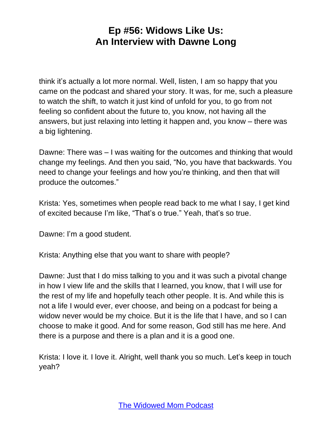think it's actually a lot more normal. Well, listen, I am so happy that you came on the podcast and shared your story. It was, for me, such a pleasure to watch the shift, to watch it just kind of unfold for you, to go from not feeling so confident about the future to, you know, not having all the answers, but just relaxing into letting it happen and, you know – there was a big lightening.

Dawne: There was – I was waiting for the outcomes and thinking that would change my feelings. And then you said, "No, you have that backwards. You need to change your feelings and how you're thinking, and then that will produce the outcomes."

Krista: Yes, sometimes when people read back to me what I say, I get kind of excited because I'm like, "That's o true." Yeah, that's so true.

Dawne: I'm a good student.

Krista: Anything else that you want to share with people?

Dawne: Just that I do miss talking to you and it was such a pivotal change in how I view life and the skills that I learned, you know, that I will use for the rest of my life and hopefully teach other people. It is. And while this is not a life I would ever, ever choose, and being on a podcast for being a widow never would be my choice. But it is the life that I have, and so I can choose to make it good. And for some reason, God still has me here. And there is a purpose and there is a plan and it is a good one.

Krista: I love it. I love it. Alright, well thank you so much. Let's keep in touch yeah?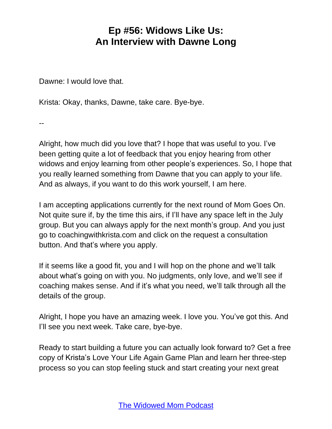Dawne: I would love that.

Krista: Okay, thanks, Dawne, take care. Bye-bye.

--

Alright, how much did you love that? I hope that was useful to you. I've been getting quite a lot of feedback that you enjoy hearing from other widows and enjoy learning from other people's experiences. So, I hope that you really learned something from Dawne that you can apply to your life. And as always, if you want to do this work yourself, I am here.

I am accepting applications currently for the next round of Mom Goes On. Not quite sure if, by the time this airs, if I'll have any space left in the July group. But you can always apply for the next month's group. And you just go to coachingwithkrista.com and click on the request a consultation button. And that's where you apply.

If it seems like a good fit, you and I will hop on the phone and we'll talk about what's going on with you. No judgments, only love, and we'll see if coaching makes sense. And if it's what you need, we'll talk through all the details of the group.

Alright, I hope you have an amazing week. I love you. You've got this. And I'll see you next week. Take care, bye-bye.

Ready to start building a future you can actually look forward to? Get a free copy of Krista's Love Your Life Again Game Plan and learn her three-step process so you can stop feeling stuck and start creating your next great